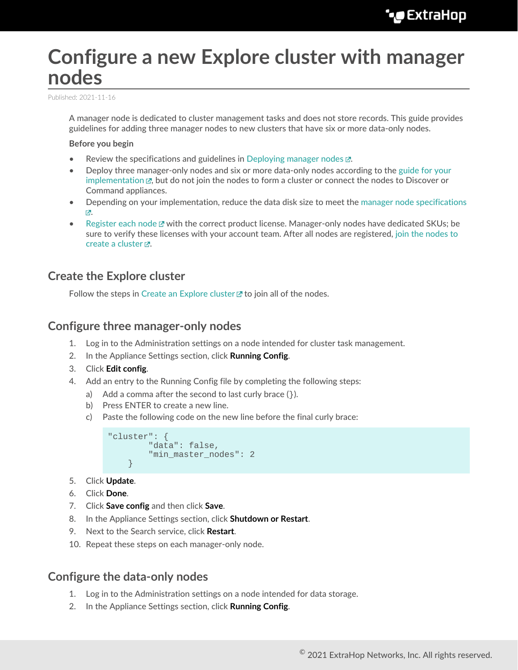# **Configure a new Explore cluster with manager nodes**

Published: 2021-11-16

A manager node is dedicated to cluster management tasks and does not store records. This guide provides guidelines for adding three manager nodes to new clusters that have six or more data-only nodes.

#### **Before you begin**

- Review the specifications and guidelines in Deploying manager nodes  $\mathbb{Z}$ .
- Deploy three manager-only nodes and six or more data-only nodes according to the [guide for your](https://docs.extrahop.com/8.7/deploy/#explore-appliance) [implementation](https://docs.extrahop.com/8.7/deploy/#explore-appliance)  $\mathbb Z$ , but do not join the nodes to form a cluster or connect the nodes to Discover or Command appliances.
- Depending on your implementation, reduce the data disk size to meet the [manager node specifications](https://docs.extrahop.com/8.7/deploy-exa-master/#manager-node-specifications) [.](https://docs.extrahop.com/8.7/deploy-exa-master/#manager-node-specifications)
- [Register each node](https://docs.extrahop.com/8.7/register-appliance)  $\mathbb Z$  with the correct product license. Manager-only nodes have dedicated SKUs; be sure to verify these licenses with your account team. After all nodes are registered, [join the nodes to](https://docs.extrahop.com/8.7/deploy-exa/#create-an-explore-cluster) [create a cluster](https://docs.extrahop.com/8.7/deploy-exa/#create-an-explore-cluster)  $\mathbb{Z}$ .

# **Create the Explore cluster**

Follow the steps in [Create an Explore cluster](https://docs.extrahop.com/8.7/deploy-exa/#create-an-explore-cluster)  $\mathbb Z$  to join all of the nodes.

## **Configure three manager-only nodes**

- 1. Log in to the Administration settings on a node intended for cluster task management.
- 2. In the Appliance Settings section, click **Running Config**.
- 3. Click **Edit config**.
- 4. Add an entry to the Running Config file by completing the following steps:
	- a) Add a comma after the second to last curly brace  $($ }).
	- b) Press ENTER to create a new line.
	- c) Paste the following code on the new line before the final curly brace:

```
"cluster": {
    "data": false,
    "min_master_nodes": 2
}
```
- 5. Click **Update**.
- 6. Click **Done**.
- 7. Click **Save config** and then click **Save**.
- 8. In the Appliance Settings section, click **Shutdown or Restart**.
- 9. Next to the Search service, click **Restart**.
- 10. Repeat these steps on each manager-only node.

## **Configure the data-only nodes**

- 1. Log in to the Administration settings on a node intended for data storage.
- 2. In the Appliance Settings section, click **Running Config**.